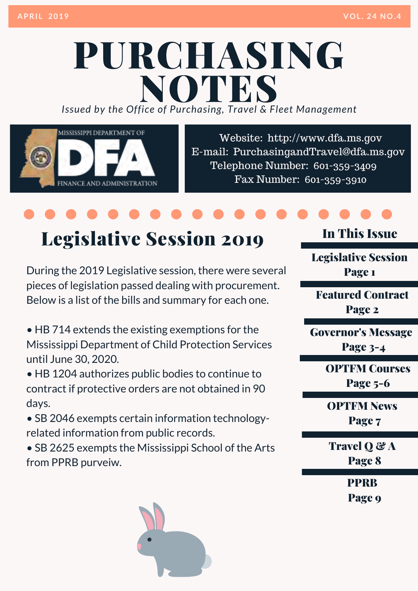## PURCHASING *Issued by the Office of Purchasing, Travel & Fleet Management* NOTES

MISSISSIPPI DEPARTMENT OF FINANCE AND ADMINISTRATION

Website: http://www.dfa.ms.gov [E-mail: PurchasingandTravel@dfa.ms.gov](http://www.dfa.ms.gov/)  Telephone Number: 601-359-3409 Fax Number: 601-359-3910

## Legislative Session 2019

During the 2019 Legislative session, there were several pieces of legislation passed dealing with procurement. Below is a list of the bills and summary for each one.

• HB 714 extends the existing exemptions for the Mississippi Department of Child Protection Services until June 30, 2020.

• HB 1204 authorizes public bodies to continue to contract if protective orders are not obtained in 90 days.

• SB 2046 exempts certain information technologyrelated information from public records.

• SB 2625 exempts the Mississippi School of the Arts from PPRB purveiw.

### In This Issue

Legislative Session Page 1

Featured Contract Page 2

Governor's Message

Page 3-4

**OPTFM Courses** Page 5-6

OPTFM News Page 7

Travel Q & A Page 8

**PPRR** 

Page 9

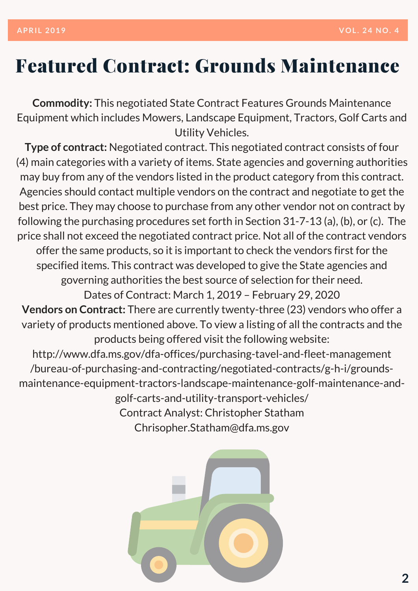### Featured Contract: Grounds Maintenance

**Commodity:** This negotiated State Contract Features Grounds Maintenance Equipment which includes Mowers, Landscape Equipment, Tractors, Golf Carts and Utility Vehicles.

**Type of contract:** Negotiated contract. This negotiated contract consists of four (4) main categories with a variety of items. State agencies and governing authorities may buy from any of the vendors listed in the product category from this contract. Agencies should contact multiple vendors on the contract and negotiate to get the best price. They may choose to purchase from any other vendor not on contract by following the purchasing procedures set forth in Section 31-7-13 (a), (b), or (c). The price shall not exceed the negotiated contract price. Not all of the contract vendors offer the same products, so it is important to check the vendors first for the specified items. This contract was developed to give the State agencies and governing authorities the best source of selection for their need. Dates of Contract: March 1, 2019 – February 29, 2020 **Vendors on Contract:** There are currently twenty-three (23) vendors who offer a variety of products mentioned above. To view a listing of all the contracts and the products being offered visit the following website: http://www.dfa.ms.gov/dfa-offices/purchasing-tavel-and-fleet-management /bureau-of-purchasing-and-contracting/negotiated-contracts/g-h-i/groundsmaintenance-equipment-tractors-landscape-maintenance-golf-maintenance-andgolf-carts-and-utility-transport-vehicles/ Contract Analyst: Christopher Statham Chrisopher.Statham@dfa.ms.gov

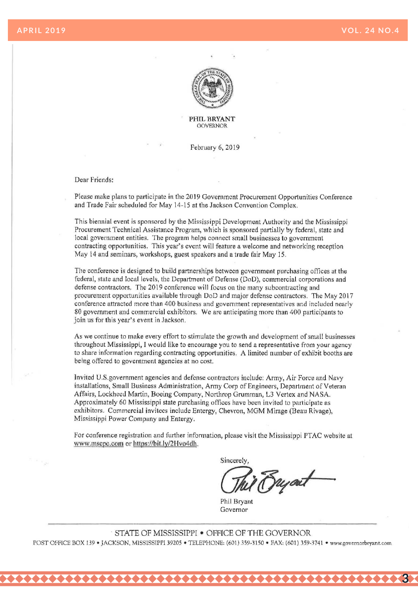**3** 



### **PHIL BRYANT GOVERNOR**

February 6, 2019

### Dear Friends:

Please make plans to participate in the 2019 Government Procurement Opportunities Conference and Trade Fair scheduled for May 14-15 at the Jackson Convention Complex.

This biennial event is sponsored by the Mississippi Development Authority and the Mississippi Procurement Technical Assistance Program, which is sponsored partially by federal, state and local government entities. The program helps connect small businesses to government contracting opportunities. This year's event will feature a welcome and networking reception May 14 and seminars, workshops, guest speakers and a trade fair May 15.

The conference is designed to build partnerships between government purchasing offices at the federal, state and local levels, the Department of Defense (DoD), commercial corporations and defense contractors. The 2019 conference will focus on the many subcontracting and procurement opportunities available through DoD and major defense contractors. The May 2017 conference attracted more than 400 business and government representatives and included nearly 80 government and commercial exhibitors. We are anticipating more than 400 participants to join us for this year's event in Jackson.

As we continue to make every effort to stimulate the growth and development of small businesses throughout Mississippi, I would like to encourage you to send a representative from your agency to share information regarding contracting opportunities. A limited number of exhibit booths are being offered to government agencies at no cost.

Invited U.S. government agencies and defense contractors include: Army, Air Force and Navy installations, Small Business Administration, Army Corp of Engineers, Department of Veteran Affairs, Lockheed Martin, Boeing Company, Northrop Grumman, L3 Vertex and NASA. Approximately 60 Mississippi state purchasing offices have been invited to participate as exhibitors. Commercial invitees include Entergy, Chevron, MGM Mirage (Beau Rivage), Mississippi Power Company and Entergy.

For conference registration and further information, please visit the Mississippi PTAC website at www.mscpc.com or https://bit.ly/2Hvo4dh.

Sincerely ryart

Phil Bryant Governor

STATE OF MISSISSIPPI . OFFICE OF THE GOVERNOR POST OFFICE BOX 139 · JACKSON, MISSISSIPPI 39205 · TELEPHONE: (601) 359-3150 · FAX: (601) 359-3741 · www.governorbryant.com

.................................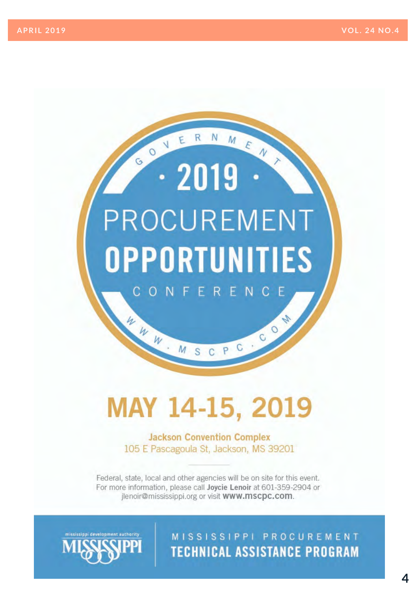# $\cdot$  2019 **PROCUREMENT OPPORTUNITIES** CONFERENC

GOVERNMEN

## MAY 14-15, 2019

MSCPC

W W W

**Jackson Convention Complex** 105 E Pascagoula St, Jackson, MS 39201

Federal, state, local and other agencies will be on site for this event. For more information, please call Joycie Lenoir at 601-359-2904 or ilenoir@mississippi.org or visit www.mscpc.com.



MISSISSIPPI PROCUREMENT **TECHNICAL ASSISTANCE PROGRAM** 

N

600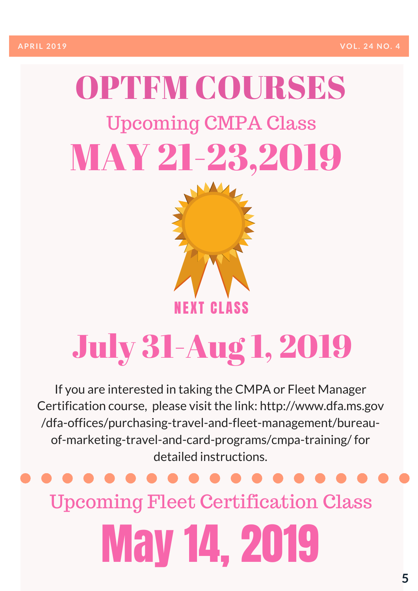# OPTEM COURSES Upcoming CMPA Class MAY 21-23,2019



# July 31-Aug 1, 2019

If you are interested in taking the CMPA or Fleet Manager [Certification course, please visit the link: http://www.dfa.ms.gov](http://www.dfa.ms.gov/dfa-offices/purchasing-travel-and-fleet-management/bureau-of-marketing-travel-and-card-programs/cmpa-training/)  /dfa-offices/purchasing-travel-and-fleet-management/bureauof-marketing-travel-and-card-programs/cmpa-training/ for detailed instructions.

## Upcoming Fleet Certification Class

May 14, 2019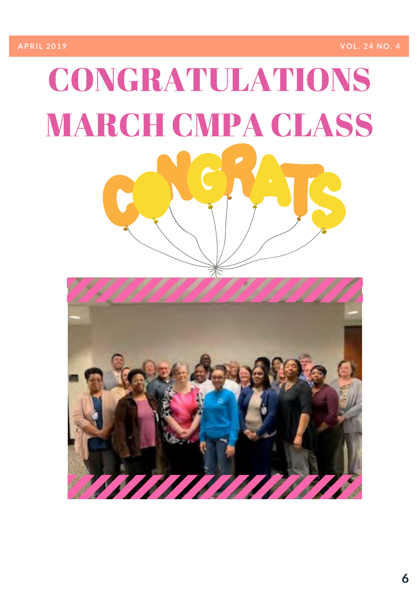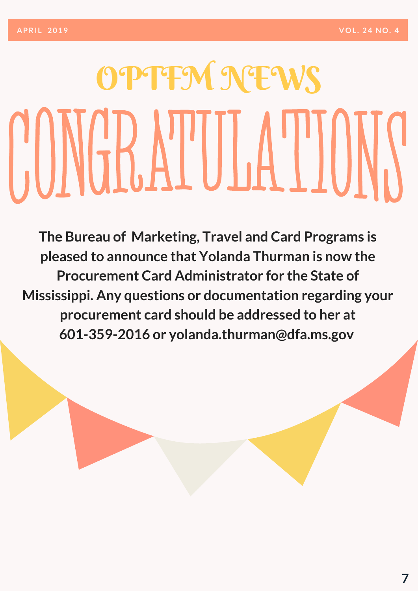# OPTFM NEWS CONGRATULATIONS

**The Bureau of Marketing, Travel and Card Programs is pleased to announce that Yolanda Thurman is now the Procurement Card Administrator for the State of Mississippi. Any questions or documentation regarding your procurement card should be addressed to her at 601-359-2016 or yolanda.thurman@dfa.ms.gov**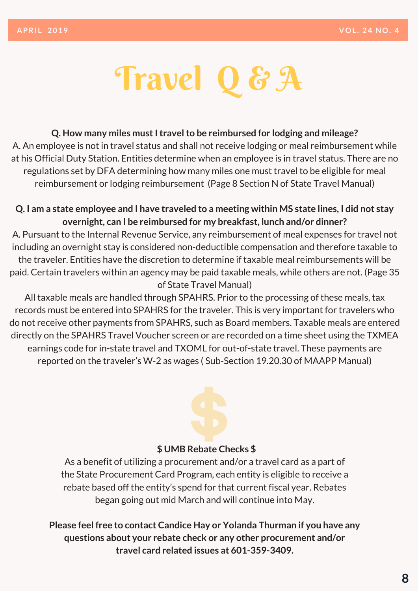# Travel Q&A

### **Q. How many miles must I travel to be reimbursed for lodging and mileage?**

A. An employee is not in travel status and shall not receive lodging or meal reimbursement while at his Official Duty Station. Entities determine when an employee is in travel status. There are no regulations set by DFA determining how many miles one must travel to be eligible for meal reimbursement or lodging reimbursement (Page 8 Section N of State Travel Manual)

### **Q. I am a state employee and I have traveled to a meeting within MS state lines, I did not stay overnight, can I be reimbursed for my breakfast, lunch and/or dinner?**

A. Pursuant to the Internal Revenue Service, any reimbursement of meal expenses for travel not including an overnight stay is considered non-deductible compensation and therefore taxable to the traveler. Entities have the discretion to determine if taxable meal reimbursements will be paid. Certain travelers within an agency may be paid taxable meals, while others are not. (Page 35 of State Travel Manual)

All taxable meals are handled through SPAHRS. Prior to the processing of these meals, tax records must be entered into SPAHRS for the traveler. This is very important for travelers who do not receive other payments from SPAHRS, such as Board members. Taxable meals are entered directly on the SPAHRS Travel Voucher screen or are recorded on a time sheet using the TXMEA earnings code for in-state travel and TXOML for out-of-state travel. These payments are reported on the traveler's W-2 as wages ( Sub-Section 19.20.30 of MAAPP Manual)

### **\$ UMB Rebate Checks \$**

As a benefit of utilizing a procurement and/or a travel card as a part of the State Procurement Card Program, each entity is eligible to receive a rebate based off the entity's spend for that current fiscal year. Rebates began going out mid March and will continue into May.

**Please feel free to contact Candice Hay or Yolanda Thurman if you have any questions about your rebate check or any other procurement and/or travel card related issues at 601-359-3409.**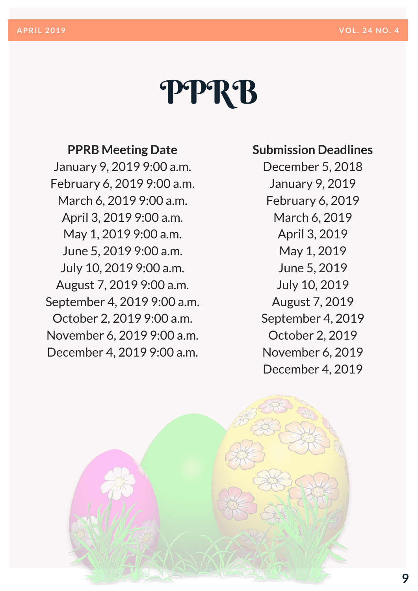# PPRB

### **PPRB Meeting Date**

January 9, 2019 9:00 a.m. February 6, 2019 9:00 a.m. March 6, 2019 9:00 a.m. April 3, 2019 9:00 a.m. May 1, 2019 9:00 a.m. June 5, 2019 9:00 a.m. July 10, 2019 9:00 a.m. August 7, 2019 9:00 a.m. September 4, 2019 9:00 a.m. October 2, 2019 9:00 a.m. November 6, 2019 9:00 a.m. December 4, 2019 9:00 a.m.

### **Submission Deadlines**

December 5, 2018 January 9, 2019 February 6, 2019 March 6, 2019 April 3, 2019 May 1, 2019 June 5, 2019 July 10, 2019 August 7, 2019 September 4, 2019 October 2, 2019 November 6, 2019 December 4, 2019